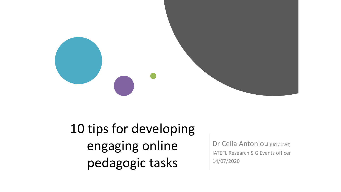

10 tips for developing engaging online pedagogic tasks

Dr Celia Antoniou (UCL/ UWS) IATEFL Research SIG Events officer 14/07/2020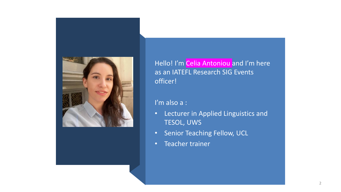

Hello! I'm Celia Antoniou and I'm here as an IATEFL Research SIG Events officer!

I'm also a :

- Lecturer in Applied Linguistics and TESOL, UWS
- Senior Teaching Fellow, UCL
- Teacher trainer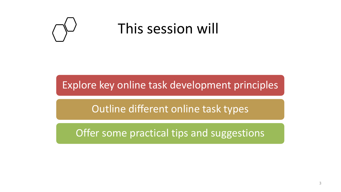

## This session will

Explore key online task development principles

Outline different online task types

Offer some practical tips and suggestions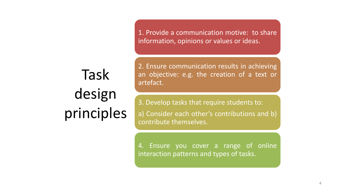1. Provide a communication motive: to share information, opinions or values or ideas.

Task design principles 2. Ensure communication results in achieving an objective: e.g. the creation of a text or artefact.

3. Develop tasks that require students to: a) Consider each other's contributions and b) contribute themselves.

4. Ensure you cover a range of online interaction patterns and types of tasks.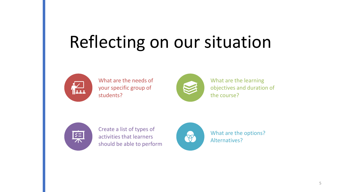# Reflecting on our situation



What are the needs of your specific group of students?



What are the learning objectives and duration of the course?



Create a list of types of activities that learners should be able to perform



What are the options? Alternatives?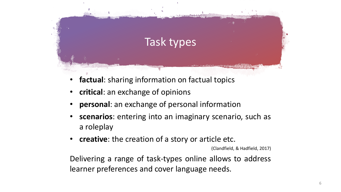

- factual: sharing information on factual topics
- **critical**: an exchange of opinions
- **personal**: an exchange of personal information
- **scenarios**: entering into an imaginary scenario, such as a roleplay
- **creative**: the creation of a story or article etc.

(Clandfield, & Hadfield, 2017)

Delivering a range of task-types online allows to address learner preferences and cover language needs.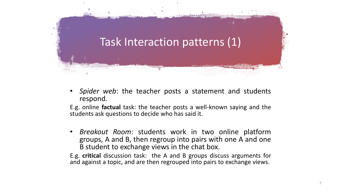

• *Spider web*: the teacher posts a statement and students respond.

E.g. online **factual** task: the teacher posts a well-known saying and the students ask questions to decide who has said it.

• *Breakout Room*: students work in two online platform groups, A and B, then regroup into pairs with one A and one B student to exchange views in the chat box.

E.g. **critical** discussion task: the A and B groups discuss arguments for and against a topic, and are then regrouped into pairs to exchange views.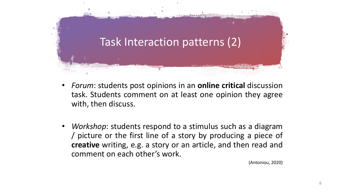

- *Forum*: students post opinions in an **online critical** discussion task. Students comment on at least one opinion they agree with, then discuss.
- *Workshop*: students respond to a stimulus such as a diagram / picture or the first line of a story by producing a piece of **creative** writing, e.g. a story or an article, and then read and comment on each other's work.

(Antoniou, 2020)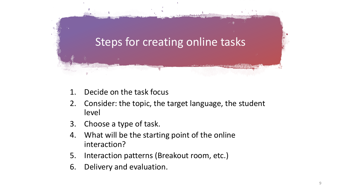

- 1. Decide on the task focus
- 2. Consider: the topic, the target language, the student level
- 3. Choose a type of task.
- 4. What will be the starting point of the online interaction?
- 5. Interaction patterns (Breakout room, etc.)
- 6. Delivery and evaluation.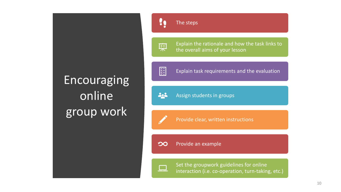## **Encouraging** online group work



稟

Explain the rationale and how the task links to the overall aims of your lesson



Explain task requirements and the evaluation

202 Assign students in groups

Provide clear, written instructions

Provide an example  $\infty$ 

Set the groupwork guidelines for online interaction (i.e. co-operation, turn-taking, etc.)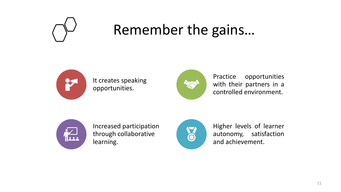

# Remember the gains…



It creates speaking opportunities.



Practice opportunities with their partners in a controlled environment.



Increased participation through collaborative learning.



Higher levels of learner autonomy, satisfaction and achievement.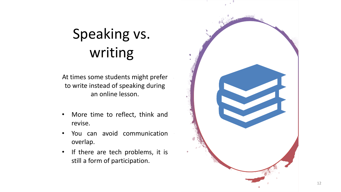# Speaking vs. writing

At times some students might prefer to write instead of speaking during an online lesson.

- More time to reflect, think and revise .
- You can avoid communication overlap .
- If there are tech problems, it is still a form of participation .

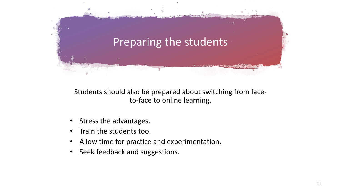

Students should also be prepared about switching from faceto-face to online learning.

- Stress the advantages.
- Train the students too.
- Allow time for practice and experimentation.
- Seek feedback and suggestions.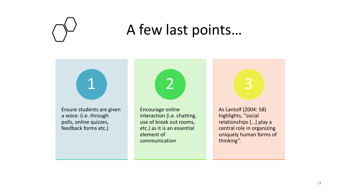

### A few last points…

Ensure students are given a voice: (i.e. through polls, online quizzes, feedback forms etc.)

1



Encourage online interaction (i.e. chatting, use of break out rooms, etc.) as it is an essential element of communication

3

As Lantolf (2004: 58) highlights, "social relationships […] play a central role in organizing uniquely human forms of thinking".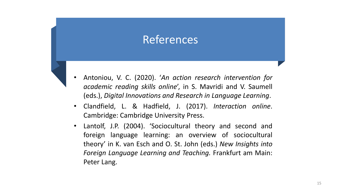#### References

- Antoniou, V. C. (2020). '*An action research intervention for academic reading skills online*', in S. Mavridi and V. Saumell (eds.), *Digital Innovations and Research in Language Learning*.
- Clandfield, L. & Hadfield, J. (2017). *Interaction online*. Cambridge: Cambridge University Press.
- Lantolf, J.P. (2004). 'Sociocultural theory and second and foreign language learning: an overview of sociocultural theory' in K. van Esch and O. St. John (eds.) *New Insights into Foreign Language Learning and Teaching.* Frankfurt am Main: Peter Lang.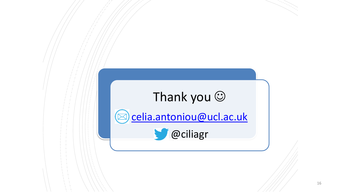